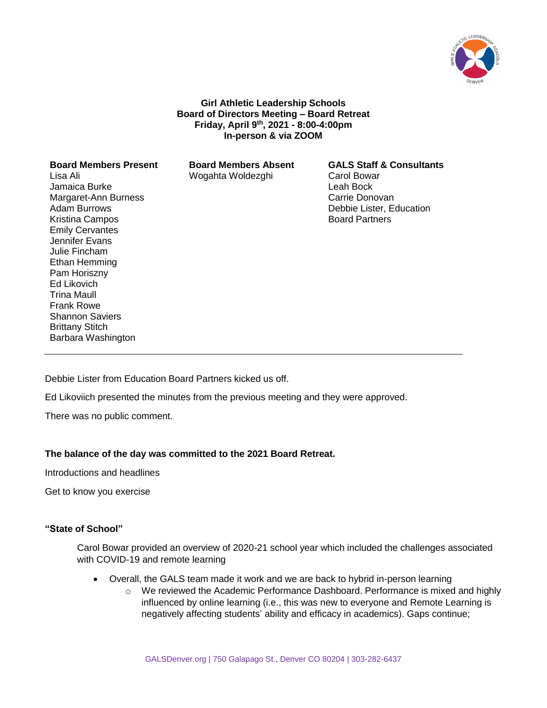

**Girl Athletic Leadership Schools Board of Directors Meeting – Board Retreat Friday, April 9th, 2021 - 8:00-4:00pm In-person & via ZOOM**

### **Board Members Present Board Members Absent GALS Staff & Consultants** Lisa Ali Jamaica Burke Margaret-Ann Burness Adam Burrows Kristina Campos Emily Cervantes Jennifer Evans Julie Fincham Ethan Hemming Pam Horiszny Ed Likovich Trina Maull Frank Rowe Shannon Saviers Brittany Stitch Barbara Washington

Wogahta Woldezghi Carol Bowar

Leah Bock Carrie Donovan Debbie Lister, Education Board Partners

Debbie Lister from Education Board Partners kicked us off.

Ed Likoviich presented the minutes from the previous meeting and they were approved.

There was no public comment.

# **The balance of the day was committed to the 2021 Board Retreat.**

Introductions and headlines

Get to know you exercise

# **"State of School"**

Carol Bowar provided an overview of 2020-21 school year which included the challenges associated with COVID-19 and remote learning

- Overall, the GALS team made it work and we are back to hybrid in-person learning
	- $\circ$  We reviewed the Academic Performance Dashboard. Performance is mixed and highly influenced by online learning (i.e., this was new to everyone and Remote Learning is negatively affecting students' ability and efficacy in academics). Gaps continue;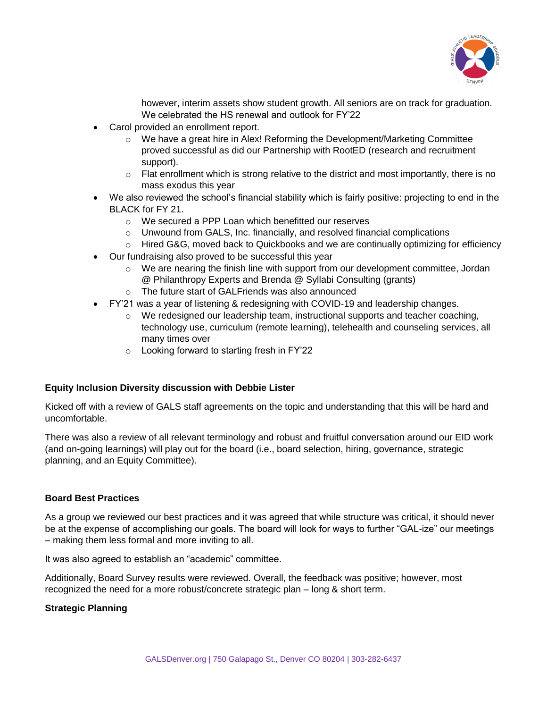

however, interim assets show student growth. All seniors are on track for graduation. We celebrated the HS renewal and outlook for FY'22

- Carol provided an enrollment report.
	- $\circ$  We have a great hire in Alex! Reforming the Development/Marketing Committee proved successful as did our Partnership with RootED (research and recruitment support).
	- $\circ$  Flat enrollment which is strong relative to the district and most importantly, there is no mass exodus this year
- We also reviewed the school's financial stability which is fairly positive: projecting to end in the BLACK for FY 21.
	- o We secured a PPP Loan which benefitted our reserves
	- $\circ$  Unwound from GALS, Inc. financially, and resolved financial complications
	- $\circ$  Hired G&G, moved back to Quickbooks and we are continually optimizing for efficiency
- Our fundraising also proved to be successful this year
	- $\circ$  We are nearing the finish line with support from our development committee, Jordan @ Philanthropy Experts and Brenda @ Syllabi Consulting (grants)
	- o The future start of GALFriends was also announced
- FY'21 was a year of listening & redesigning with COVID-19 and leadership changes.
	- $\circ$  We redesigned our leadership team, instructional supports and teacher coaching, technology use, curriculum (remote learning), telehealth and counseling services, all many times over
	- o Looking forward to starting fresh in FY'22

# **Equity Inclusion Diversity discussion with Debbie Lister**

Kicked off with a review of GALS staff agreements on the topic and understanding that this will be hard and uncomfortable.

There was also a review of all relevant terminology and robust and fruitful conversation around our EID work (and on-going learnings) will play out for the board (i.e., board selection, hiring, governance, strategic planning, and an Equity Committee).

# **Board Best Practices**

As a group we reviewed our best practices and it was agreed that while structure was critical, it should never be at the expense of accomplishing our goals. The board will look for ways to further "GAL-ize" our meetings – making them less formal and more inviting to all.

It was also agreed to establish an "academic" committee.

Additionally, Board Survey results were reviewed. Overall, the feedback was positive; however, most recognized the need for a more robust/concrete strategic plan – long & short term.

# **Strategic Planning**